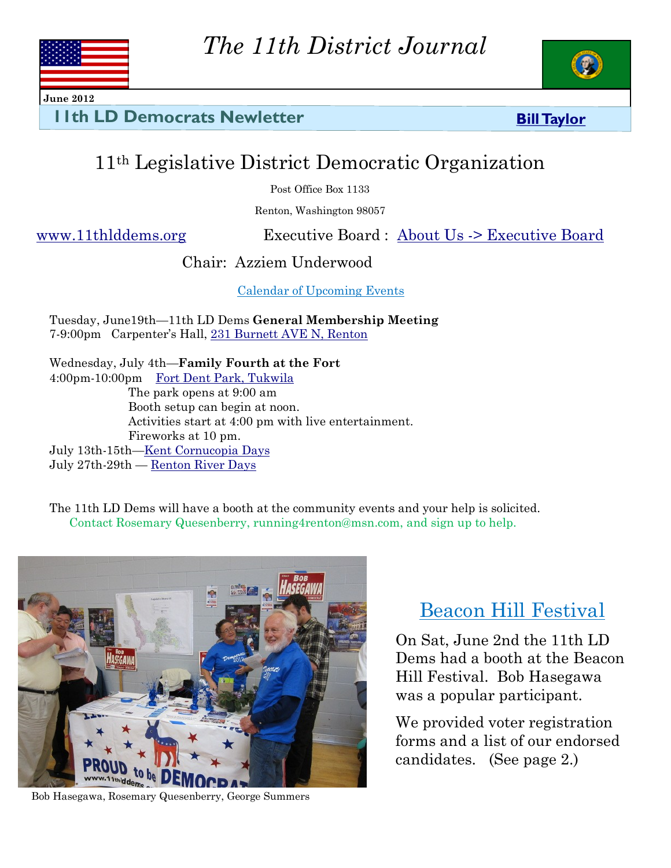**June 2012** 



 **11th LD Democrats Newletter [Bill Taylor](mailto:WilliamATaylor@comcast.net?subject=11th%20LD%20Dems%20Newsletter%20)**

# 11th Legislative District Democratic Organization

Post Office Box 1133

Renton, Washington 98057

[www.11thlddems.org](http://www.11thlddems.org) Executive Board : [About Us -> Executive Board](http://www.11thlddems.org/executive-board/)

Chair: Azziem Underwood

Calendar of Upcoming Events

Tuesday, June19th—11th LD Dems **General Membership Meeting**  7-9:00pm Carpenter's Hall, [231 Burnett AVE N, Renton](C:/Users/Bill/Documents/11th LD Dems)

Wednesday, July 4th—**Family Fourth at the Fort** 4:00pm-10:00pm [Fort Dent Park, Tukwila](https://maps.google.com/maps?q=Fort+Dent,+Tukwila,+WA&hl=en&ll=47.467253,-122.244809&spn=0.008645,0.018926&sll=47.467093,-122.249207&sspn=0.018248,0.025363&hnear=Fort+Dent+Way,+Tukwila,+King,+Washington+98188&t=m&z=16) The park opens at 9:00 am Booth setup can begin at noon. Activities start at 4:00 pm with live entertainment. Fireworks at 10 pm. July 13th-15th—[Kent Cornucopia Days](http://www.facebook.com/KentCornucopiaDays) July 27th-29th — [Renton River Days](http://rentonwa.gov/living/default.aspx?id=1138)

The 11th LD Dems will have a booth at the community events and your help is solicited. Contact Rosemary Quesenberry, running4renton@msn.com, and sign up to help.



Bob Hasegawa, Rosemary Quesenberry, George Summers

### Beacon Hill Festival

On Sat, June 2nd the 11th LD Dems had a booth at the Beacon Hill Festival. Bob Hasegawa was a popular participant.

We provided voter registration forms and a list of our endorsed candidates. (See page 2.)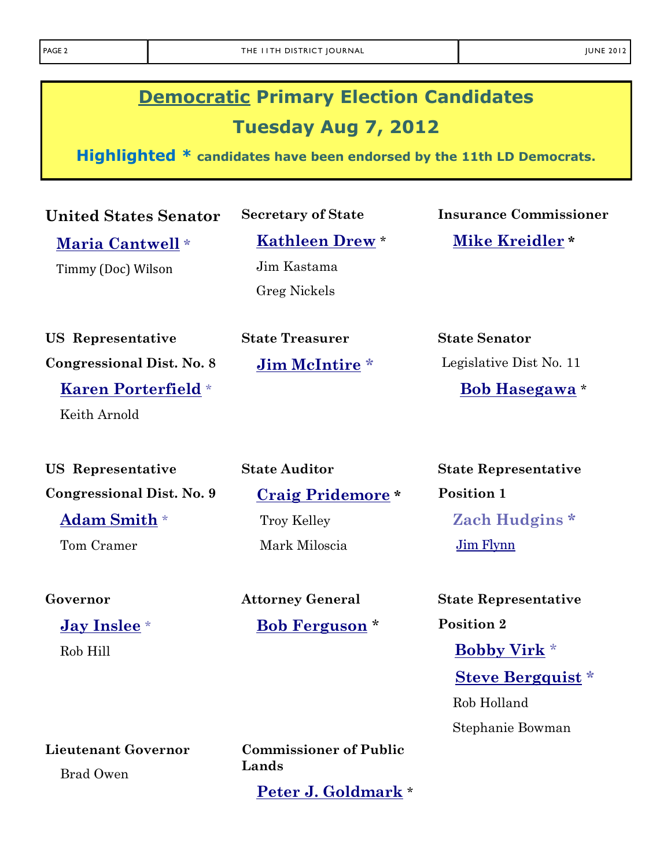## **Democratic Primary Election Candidates Tuesday Aug 7, 2012**

**Highlighted \* candidates have been endorsed by the 11th LD Democrats.**

**United States Senator**

 **[Maria Cantwell](http://www.cantwell.com/splash/) \***

Timmy (Doc) Wilson

**Secretary of State [Kathleen Drew](http://kathleendrew2012.com/)** \* Jim Kastama

Greg Nickels

**State Treasurer**

 **[Jim McIntire](http://www.jimmcintire.com/) \***

**US Representative Congressional Dist. No. 8**

**[Karen Porterfield](http://www.karenporterfield4congress.com/welcome?page=http://www.karenporterfield4congress.com/)** \*

Keith Arnold

**US Representative Congressional Dist. No. 9**

**[Adam Smith](http://www.electadamsmith.com/)** \*

Tom Cramer

**Governor**

 **[Jay Inslee](http://www.jayinslee.com/)** \* Rob Hill

**Lieutenant Governor** Brad Owen

**Commissioner of Public Lands**

**[Peter J. Goldmark](http://petergoldmark.com/)** \*

**Insurance Commissioner [Mike Kreidler](http://www.mikekreidler.com/) \***

**State Senator** Legislative Dist No. 11

**[Bob Hasegawa](http://bobhasegawa.com/)** \*

**State Auditor [Craig Pridemore](http://craigpridemore.com/) \*** Troy Kelley Mark Miloscia

**Attorney General [Bob Ferguson](http://electbobferguson.com/)** \* **State Representative Position 1 Zach Hudgins \*** [Jim Flynn](http://www.electjimflynn.com)

**State Representative Position 2**

> **[Bobby Virk](http://virkforhouse.com/)** \*  **[Steve Bergquist](http://www.steve4house.com/) \*** Rob Holland

Stephanie Bowman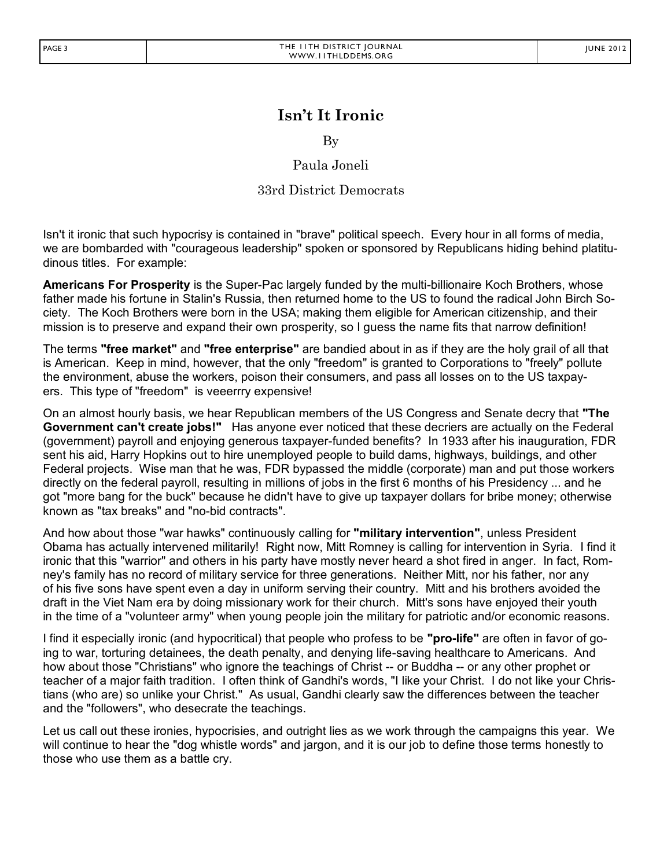#### **Isn't It Ironic**

By

Paula Joneli

#### 33rd District Democrats

Isn't it ironic that such hypocrisy is contained in "brave" political speech. Every hour in all forms of media, we are bombarded with "courageous leadership" spoken or sponsored by Republicans hiding behind platitudinous titles. For example:

**Americans For Prosperity** is the Super-Pac largely funded by the multi-billionaire Koch Brothers, whose father made his fortune in Stalin's Russia, then returned home to the US to found the radical John Birch Society. The Koch Brothers were born in the USA; making them eligible for American citizenship, and their mission is to preserve and expand their own prosperity, so I guess the name fits that narrow definition!

The terms **"free market"** and **"free enterprise"** are bandied about in as if they are the holy grail of all that is American. Keep in mind, however, that the only "freedom" is granted to Corporations to "freely" pollute the environment, abuse the workers, poison their consumers, and pass all losses on to the US taxpayers. This type of "freedom" is veeerrry expensive!

On an almost hourly basis, we hear Republican members of the US Congress and Senate decry that **"The Government can't create jobs!"** Has anyone ever noticed that these decriers are actually on the Federal (government) payroll and enjoying generous taxpayer-funded benefits? In 1933 after his inauguration, FDR sent his aid, Harry Hopkins out to hire unemployed people to build dams, highways, buildings, and other Federal projects. Wise man that he was, FDR bypassed the middle (corporate) man and put those workers directly on the federal payroll, resulting in millions of jobs in the first 6 months of his Presidency ... and he got "more bang for the buck" because he didn't have to give up taxpayer dollars for bribe money; otherwise known as "tax breaks" and "no-bid contracts".

And how about those "war hawks" continuously calling for **"military intervention"**, unless President Obama has actually intervened militarily! Right now, Mitt Romney is calling for intervention in Syria. I find it ironic that this "warrior" and others in his party have mostly never heard a shot fired in anger. In fact, Romney's family has no record of military service for three generations. Neither Mitt, nor his father, nor any of his five sons have spent even a day in uniform serving their country. Mitt and his brothers avoided the draft in the Viet Nam era by doing missionary work for their church. Mitt's sons have enjoyed their youth in the time of a "volunteer army" when young people join the military for patriotic and/or economic reasons.

I find it especially ironic (and hypocritical) that people who profess to be **"pro-life"** are often in favor of going to war, torturing detainees, the death penalty, and denying life-saving healthcare to Americans. And how about those "Christians" who ignore the teachings of Christ -- or Buddha -- or any other prophet or teacher of a major faith tradition. I often think of Gandhi's words, "I like your Christ. I do not like your Christians (who are) so unlike your Christ." As usual, Gandhi clearly saw the differences between the teacher and the "followers", who desecrate the teachings.

Let us call out these ironies, hypocrisies, and outright lies as we work through the campaigns this year. We will continue to hear the "dog whistle words" and jargon, and it is our job to define those terms honestly to those who use them as a battle cry.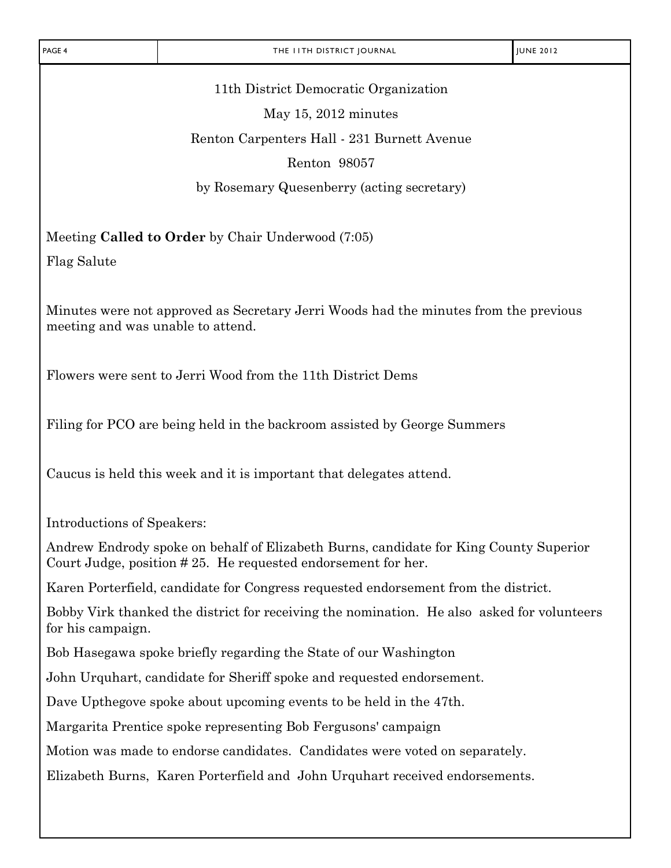| PAGE 4                                                                                                                                                   | THE ITH DISTRICT JOURNAL                   | <b>JUNE 2012</b> |  |  |
|----------------------------------------------------------------------------------------------------------------------------------------------------------|--------------------------------------------|------------------|--|--|
|                                                                                                                                                          | 11th District Democratic Organization      |                  |  |  |
| May $15, 2012$ minutes                                                                                                                                   |                                            |                  |  |  |
| Renton Carpenters Hall - 231 Burnett Avenue                                                                                                              |                                            |                  |  |  |
| Renton 98057                                                                                                                                             |                                            |                  |  |  |
|                                                                                                                                                          | by Rosemary Quesenberry (acting secretary) |                  |  |  |
|                                                                                                                                                          |                                            |                  |  |  |
| Meeting Called to Order by Chair Underwood (7:05)                                                                                                        |                                            |                  |  |  |
| Flag Salute                                                                                                                                              |                                            |                  |  |  |
| Minutes were not approved as Secretary Jerri Woods had the minutes from the previous<br>meeting and was unable to attend.                                |                                            |                  |  |  |
| Flowers were sent to Jerri Wood from the 11th District Dems                                                                                              |                                            |                  |  |  |
| Filing for PCO are being held in the backroom assisted by George Summers                                                                                 |                                            |                  |  |  |
| Caucus is held this week and it is important that delegates attend.                                                                                      |                                            |                  |  |  |
| Introductions of Speakers:                                                                                                                               |                                            |                  |  |  |
| Andrew Endrody spoke on behalf of Elizabeth Burns, candidate for King County Superior<br>Court Judge, position $#25$ . He requested endorsement for her. |                                            |                  |  |  |
| Karen Porterfield, candidate for Congress requested endorsement from the district.                                                                       |                                            |                  |  |  |
| Bobby Virk thanked the district for receiving the nomination. He also asked for volunteers<br>for his campaign.                                          |                                            |                  |  |  |
| Bob Hasegawa spoke briefly regarding the State of our Washington                                                                                         |                                            |                  |  |  |
| John Urquhart, candidate for Sheriff spoke and requested endorsement.                                                                                    |                                            |                  |  |  |
| Dave Up the gove spoke about upcoming events to be held in the 47 <sup>th</sup> .                                                                        |                                            |                  |  |  |
| Margarita Prentice spoke representing Bob Fergusons' campaign                                                                                            |                                            |                  |  |  |
| Motion was made to endorse candidates. Candidates were voted on separately.                                                                              |                                            |                  |  |  |
| Elizabeth Burns, Karen Porterfield and John Urquhart received endorsements.                                                                              |                                            |                  |  |  |
|                                                                                                                                                          |                                            |                  |  |  |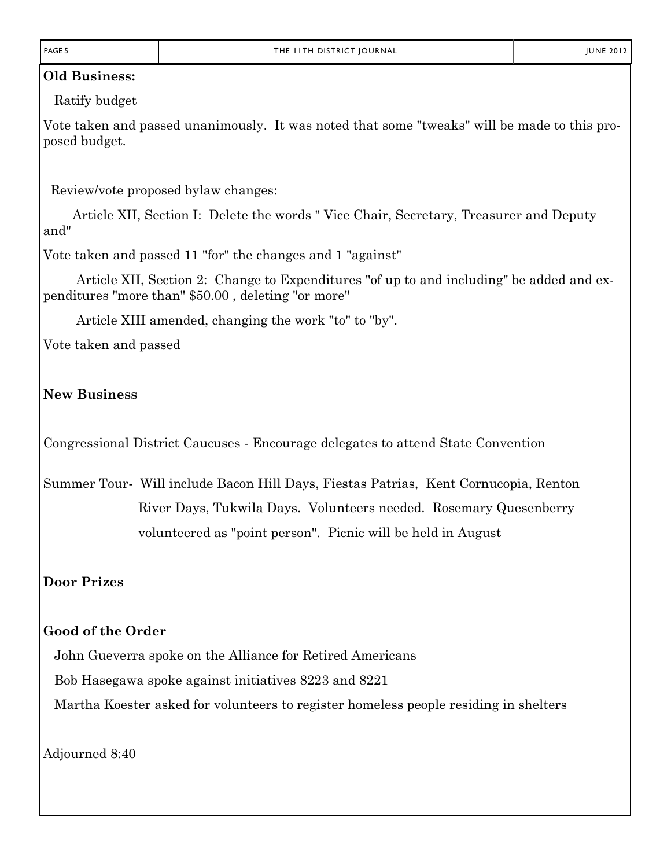#### **Old Business:**

Ratify budget

Vote taken and passed unanimously. It was noted that some "tweaks" will be made to this proposed budget.

Review/vote proposed bylaw changes:

 Article XII, Section I: Delete the words " Vice Chair, Secretary, Treasurer and Deputy and"

Vote taken and passed 11 "for" the changes and 1 "against"

 Article XII, Section 2: Change to Expenditures "of up to and including" be added and expenditures "more than" \$50.00 , deleting "or more"

Article XIII amended, changing the work "to" to "by".

Vote taken and passed

### **New Business**

Congressional District Caucuses - Encourage delegates to attend State Convention

Summer Tour- Will include Bacon Hill Days, Fiestas Patrias, Kent Cornucopia, Renton River Days, Tukwila Days. Volunteers needed. Rosemary Quesenberry volunteered as "point person". Picnic will be held in August

### **Door Prizes**

### **Good of the Order**

 John Gueverra spoke on the Alliance for Retired Americans Bob Hasegawa spoke against initiatives 8223 and 8221 Martha Koester asked for volunteers to register homeless people residing in shelters

Adjourned 8:40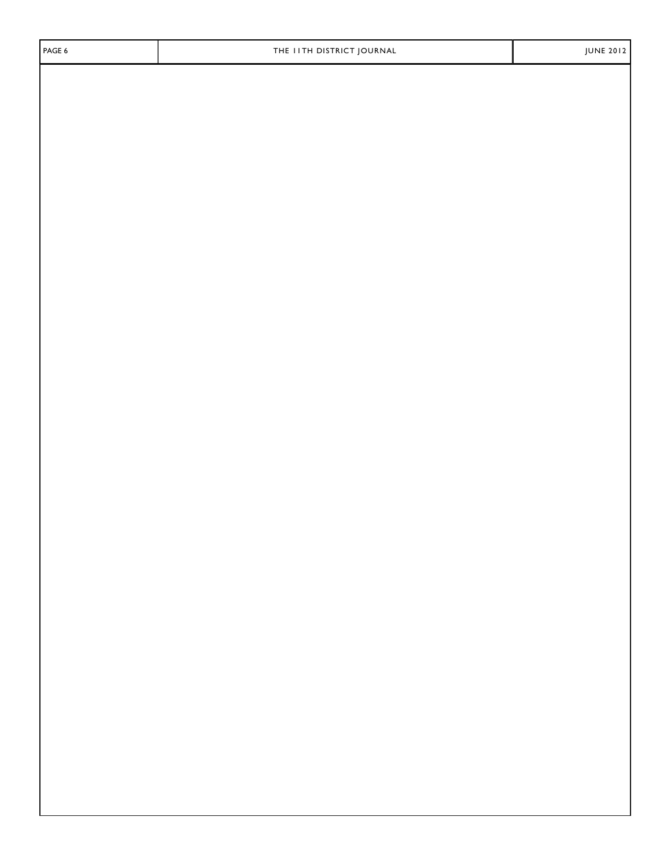| PAGE 6 | THE ITH DISTRICT JOURNAL | <b>JUNE 2012</b> |
|--------|--------------------------|------------------|
|        |                          |                  |
|        |                          |                  |
|        |                          |                  |
|        |                          |                  |
|        |                          |                  |
|        |                          |                  |
|        |                          |                  |
|        |                          |                  |
|        |                          |                  |
|        |                          |                  |
|        |                          |                  |
|        |                          |                  |
|        |                          |                  |
|        |                          |                  |
|        |                          |                  |
|        |                          |                  |
|        |                          |                  |
|        |                          |                  |
|        |                          |                  |
|        |                          |                  |
|        |                          |                  |
|        |                          |                  |
|        |                          |                  |
|        |                          |                  |
|        |                          |                  |
|        |                          |                  |
|        |                          |                  |
|        |                          |                  |
|        |                          |                  |
|        |                          |                  |
|        |                          |                  |